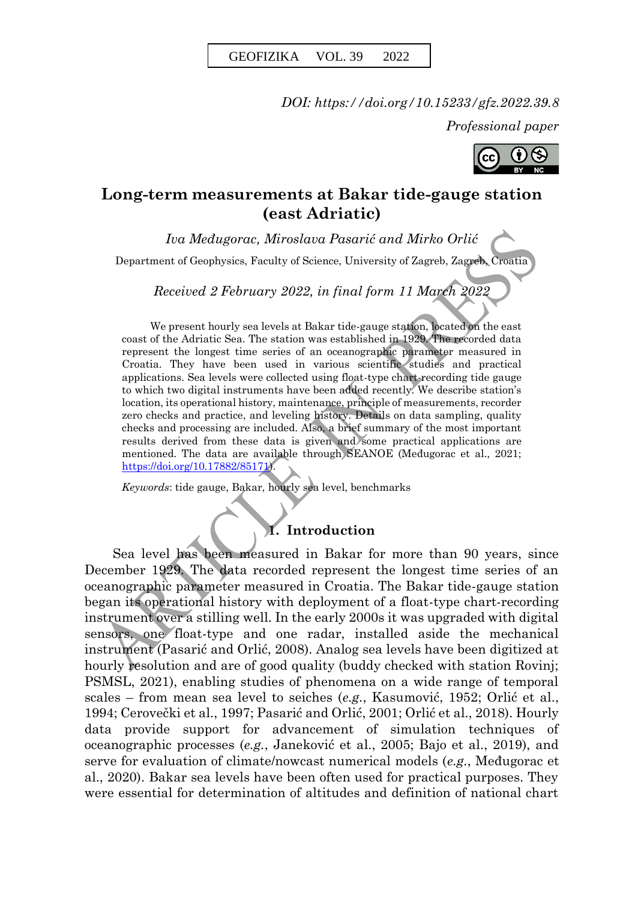*DOI: https://doi.org/10.15233/gfz.2022.39.8*

*Professional paper*



# **Long-term measurements at Bakar tide-gauge station (east Adriatic)**

*Iva Međugorac, Miroslava Pasarić and Mirko Orlić*

Department of Geophysics, Faculty of Science, University of Zagreb, Zagreb, Croatia

*Received 2 February 2022, in final form 11 March 2022*

We present hourly sea levels at Bakar tide-gauge station, located on the east coast of the Adriatic Sea. The station was established in 1929. The recorded data represent the longest time series of an oceanographic parameter measured in Croatia. They have been used in various scientific studies and practical applications. Sea levels were collected using float-type chart-recording tide gauge to which two digital instruments have been added recently. We describe station's location, its operational history, maintenance, principle of measurements, recorder zero checks and practice, and leveling history. Details on data sampling, quality checks and processing are included. Also, a brief summary of the most important results derived from these data is given and some practical applications are mentioned. The data are available through SEANOE (Međugorac et al., 2021; [https://doi.org/10.17882/85171\)](https://doi.org/10.17882/85171).

*Keywords*: tide gauge, Bakar, hourly sea level, benchmarks

### **1. Introduction**

Sea level has been measured in Bakar for more than 90 years, since December 1929. The data recorded represent the longest time series of an oceanographic parameter measured in Croatia. The Bakar tide-gauge station began its operational history with deployment of a float-type chart-recording instrument over a stilling well. In the early 2000s it was upgraded with digital sensors, one float-type and one radar, installed aside the mechanical instrument (Pasarić and Orlić, 2008). Analog sea levels have been digitized at hourly resolution and are of good quality (buddy checked with station Rovinj; PSMSL, 2021), enabling studies of phenomena on a wide range of temporal scales – from mean sea level to seiches (*e.g.*, Kasumović, 1952; Orlić et al., 1994; Cerovečki et al., 1997; Pasarić and Orlić, 2001; Orlić et al., 2018). Hourly data provide support for advancement of simulation techniques of oceanographic processes (*e.g.*, Janeković et al., 2005; Bajo et al., 2019), and serve for evaluation of climate/nowcast numerical models (*e.g.*, Međugorac et al., 2020). Bakar sea levels have been often used for practical purposes. They were essential for determination of altitudes and definition of national chart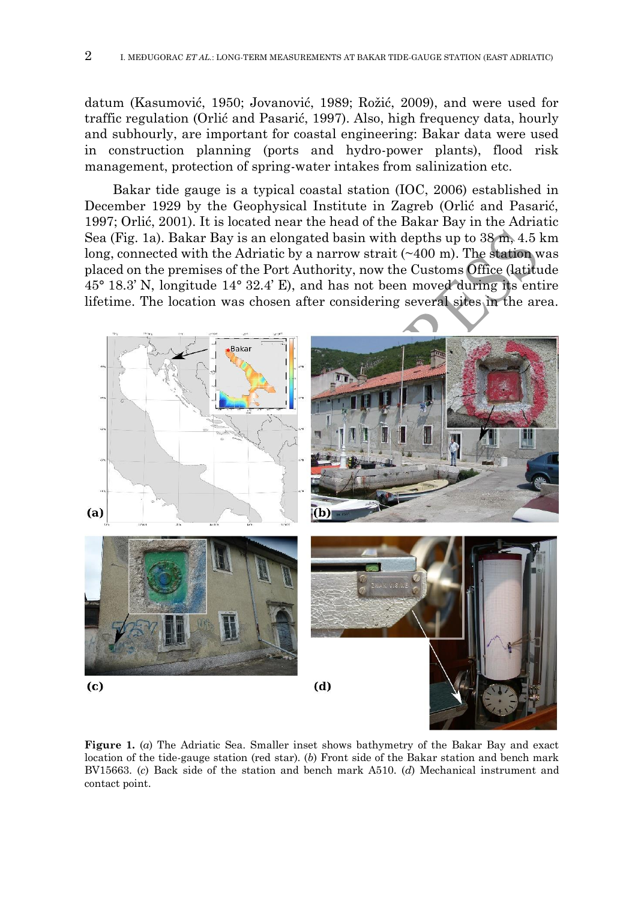datum (Kasumović, 1950; Jovanović, 1989; Rožić, 2009), and were used for traffic regulation (Orlić and Pasarić, 1997). Also, high frequency data, hourly and subhourly, are important for coastal engineering: Bakar data were used in construction planning (ports and hydro-power plants), flood risk management, protection of spring-water intakes from salinization etc.

Bakar tide gauge is a typical coastal station (IOC, 2006) established in December 1929 by the Geophysical Institute in Zagreb (Orlić and Pasarić, 1997; Orlić, 2001). It is located near the head of the Bakar Bay in the Adriatic Sea (Fig. 1a). Bakar Bay is an elongated basin with depths up to 38 m, 4.5 km long, connected with the Adriatic by a narrow strait  $(\sim 400 \text{ m})$ . The station was placed on the premises of the Port Authority, now the Customs Office (latitude 45° 18.3' N, longitude 14° 32.4' E), and has not been moved during its entire lifetime. The location was chosen after considering several sites in the area.



**Figure 1.** (*a*) The Adriatic Sea. Smaller inset shows bathymetry of the Bakar Bay and exact location of the tide-gauge station (red star). (*b*) Front side of the Bakar station and bench mark BV15663. (*c*) Back side of the station and bench mark A510. (*d*) Mechanical instrument and contact point.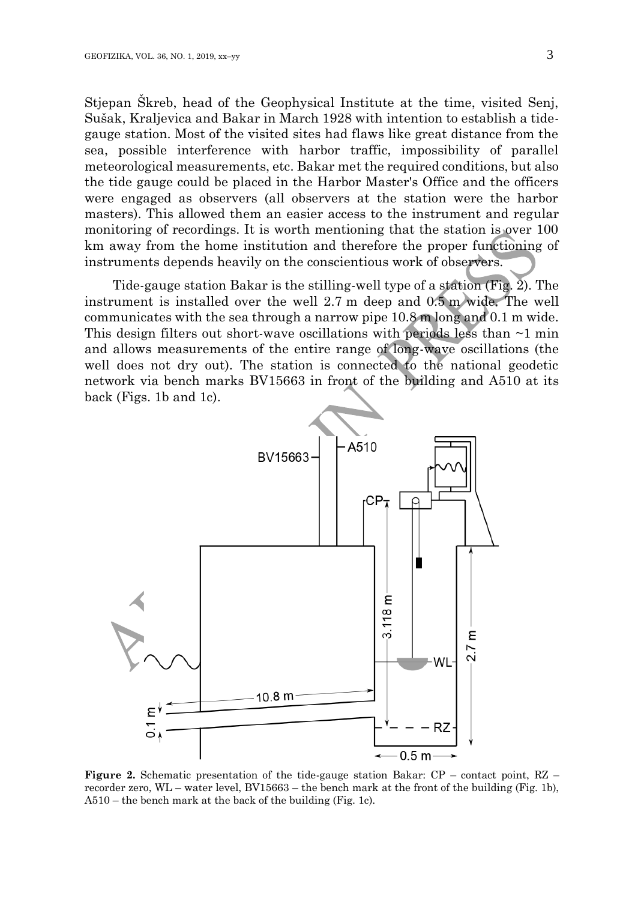Stjepan Škreb, head of the Geophysical Institute at the time, visited Senj, Sušak, Kraljevica and Bakar in March 1928 with intention to establish a tidegauge station. Most of the visited sites had flaws like great distance from the sea, possible interference with harbor traffic, impossibility of parallel meteorological measurements, etc. Bakar met the required conditions, but also the tide gauge could be placed in the Harbor Master's Office and the officers were engaged as observers (all observers at the station were the harbor masters). This allowed them an easier access to the instrument and regular monitoring of recordings. It is worth mentioning that the station is over 100 km away from the home institution and therefore the proper functioning of instruments depends heavily on the conscientious work of observers.

Tide-gauge station Bakar is the stilling-well type of a station (Fig. 2). The instrument is installed over the well 2.7 m deep and 0.5 m wide. The well communicates with the sea through a narrow pipe 10.8 m long and 0.1 m wide. This design filters out short-wave oscillations with periods less than  $\sim$ 1 min and allows measurements of the entire range of long-wave oscillations (the well does not dry out). The station is connected to the national geodetic network via bench marks BV15663 in front of the building and A510 at its back (Figs. 1b and 1c).



**Figure 2.** Schematic presentation of the tide-gauge station Bakar: CP – contact point, RZ – recorder zero, WL – water level, BV15663 – the bench mark at the front of the building (Fig. 1b), A510 – the bench mark at the back of the building (Fig. 1c).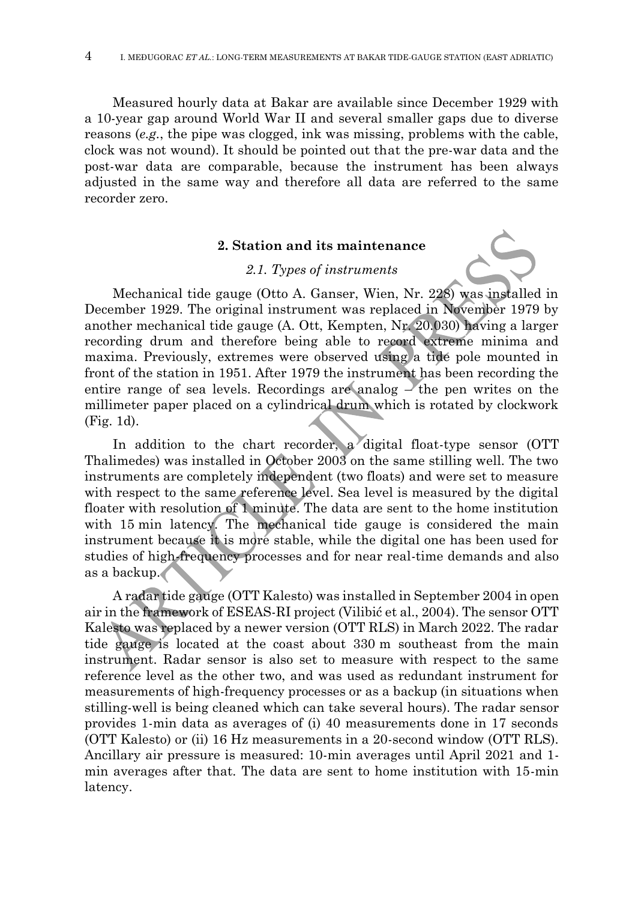Measured hourly data at Bakar are available since December 1929 with a 10-year gap around World War II and several smaller gaps due to diverse reasons (*e.g.*, the pipe was clogged, ink was missing, problems with the cable, clock was not wound). It should be pointed out that the pre-war data and the post-war data are comparable, because the instrument has been always adjusted in the same way and therefore all data are referred to the same recorder zero.

#### **2. Station and its maintenance**

## *2.1. Types of instruments*

Mechanical tide gauge (Otto A. Ganser, Wien, Nr. 228) was installed in December 1929. The original instrument was replaced in November 1979 by another mechanical tide gauge (A. Ott, Kempten, Nr. 20.030) having a larger recording drum and therefore being able to record extreme minima and maxima. Previously, extremes were observed using a tide pole mounted in front of the station in 1951. After 1979 the instrument has been recording the entire range of sea levels. Recordings are analog  $\rightarrow$  the pen writes on the millimeter paper placed on a cylindrical drum which is rotated by clockwork (Fig. 1d).

In addition to the chart recorder, a digital float-type sensor (OTT Thalimedes) was installed in October 2003 on the same stilling well. The two instruments are completely independent (two floats) and were set to measure with respect to the same reference level. Sea level is measured by the digital floater with resolution of 1 minute. The data are sent to the home institution with 15 min latency. The mechanical tide gauge is considered the main instrument because it is more stable, while the digital one has been used for studies of high-frequency processes and for near real-time demands and also as a backup.

A radar tide gauge (OTT Kalesto) was installed in September 2004 in open air in the framework of ESEAS-RI project (Vilibić et al., 2004). The sensor OTT Kalesto was replaced by a newer version (OTT RLS) in March 2022. The radar tide gauge is located at the coast about 330 m southeast from the main instrument. Radar sensor is also set to measure with respect to the same reference level as the other two, and was used as redundant instrument for measurements of high-frequency processes or as a backup (in situations when stilling-well is being cleaned which can take several hours). The radar sensor provides 1-min data as averages of (i) 40 measurements done in 17 seconds (OTT Kalesto) or (ii) 16 Hz measurements in a 20-second window (OTT RLS). Ancillary air pressure is measured: 10-min averages until April 2021 and 1 min averages after that. The data are sent to home institution with 15-min latency.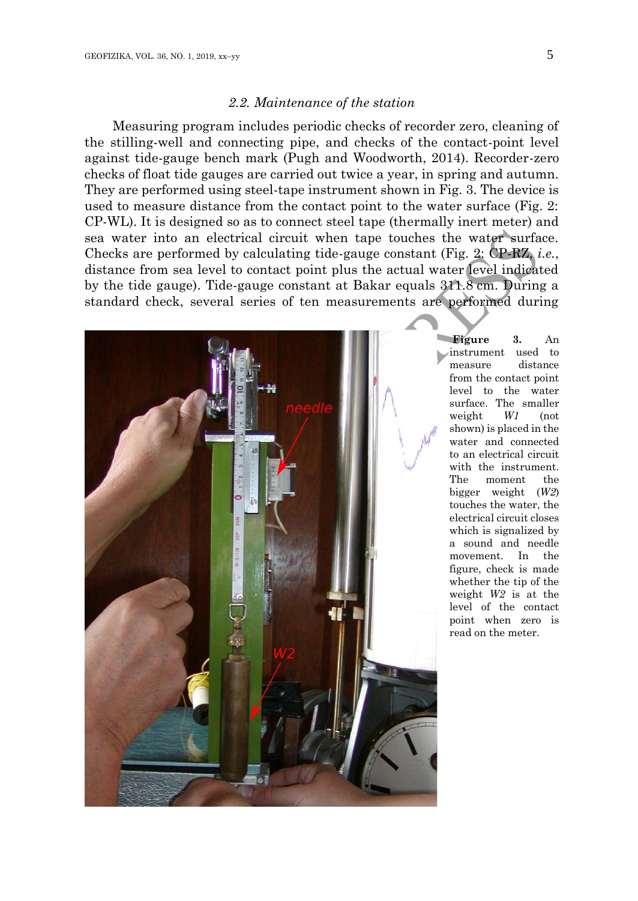#### *2.2. Maintenance of the station*

Measuring program includes periodic checks of recorder zero, cleaning of the stilling-well and connecting pipe, and checks of the contact-point level against tide-gauge bench mark (Pugh and Woodworth, 2014). Recorder-zero checks of float tide gauges are carried out twice a year, in spring and autumn. They are performed using steel-tape instrument shown in Fig. 3. The device is used to measure distance from the contact point to the water surface (Fig. 2: CP-WL). It is designed so as to connect steel tape (thermally inert meter) and sea water into an electrical circuit when tape touches the water surface. Checks are performed by calculating tide-gauge constant (Fig. 2: CP-RZ, *i.e.*, distance from sea level to contact point plus the actual water level indicated by the tide gauge). Tide-gauge constant at Bakar equals 311.8 cm. During a standard check, several series of ten measurements are performed during



**Figure 3.** An instrument used to measure distance from the contact point level to the water surface. The smaller weight *W1* (not shown) is placed in the water and connected to an electrical circuit with the instrument. The moment the bigger weight (*W2*) touches the water, the electrical circuit closes which is signalized by a sound and needle movement. In the figure, check is made whether the tip of the weight *W2* is at the level of the contact point when zero is read on the meter.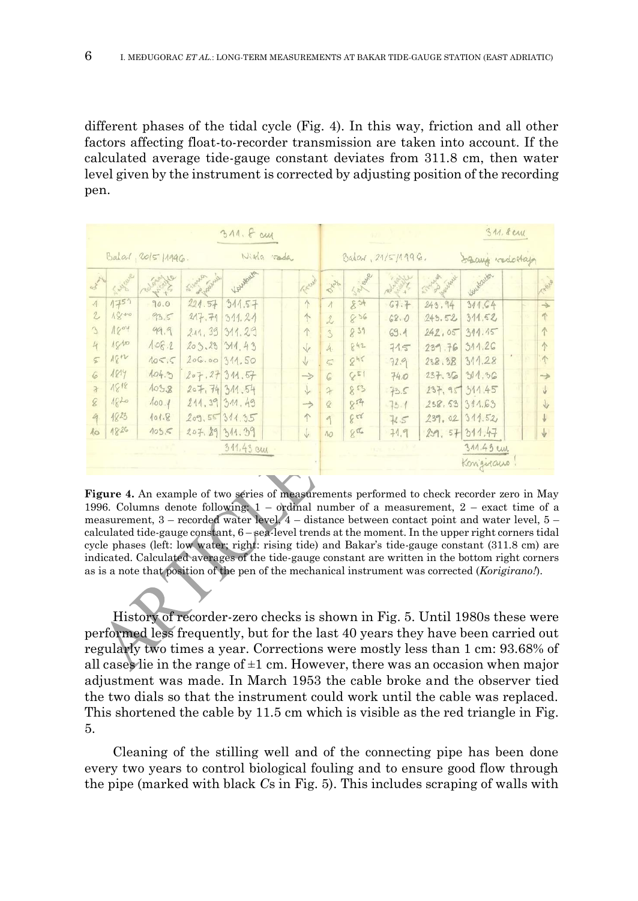different phases of the tidal cycle (Fig. 4). In this way, friction and all other factors affecting float-to-recorder transmission are taken into account. If the calculated average tide-gauge constant deviates from 311.8 cm, then water level given by the instrument is corrected by adjusting position of the recording pen.

| 311.8 cm                         |        |          |                        |          |  |  |               |                   |          |         |               | 311, 8 cm       |  |  |               |
|----------------------------------|--------|----------|------------------------|----------|--|--|---------------|-------------------|----------|---------|---------------|-----------------|--|--|---------------|
| Nitla vada<br>Balar, 2015 11996. |        |          |                        |          |  |  |               | Badar, 21/5/1996. |          |         |               | Szang vodostaja |  |  |               |
| of                               | SANGUR | robberto | Shirip<br>agreement of | Kastauta |  |  | Trou          | state             | Saturd 1 | RETAIL  | City of White | Koukouko        |  |  | <b>ANGEL</b>  |
| $\Lambda$                        | 1751   | 90.0     | 221.57                 | 311.57   |  |  | $\uparrow$    | $\Lambda$         | 8.34     | 67.7    | 243.94        | 311.64          |  |  | $\rightarrow$ |
| $\mathbb{Z}$                     | 1800   | 93.5     | 217.71                 | 311.21   |  |  | 1             | $\mathcal{L}$     | 836      | 68.0    | 243.52        | 311.52          |  |  | 1             |
| $\Im$                            | 1804   | 99.9     | 2.11, 39               | 311.29   |  |  | 1             | $\mathcal{B}$     | 839      | 69.4    | 242,05        | 311.15          |  |  | A             |
| 4                                | 10.400 | 108.2    | $203.23$ 311.43        |          |  |  | $\sqrt{}$     | $\lambda$ .       | 842      | 71.5    | 239.76        | 311.26          |  |  | 1             |
| $\mathcal{L}$                    | 1812   | 105.5    | 206.00311.50           |          |  |  | $\sqrt{}$     | $\sqrt{2}$        | 945      | 72.9    | 238.38        | 311.28          |  |  | $\uparrow$    |
| 6                                | 1814   | 104.3    | 207.2734.57            |          |  |  | $\Rightarrow$ | G                 | 651      | 74.0    | 237.36        | 311,36          |  |  | $\rightarrow$ |
| $\mathcal{F}$                    | 1818   | 103.8    | 207, 74 311.54         |          |  |  | $\downarrow$  | $\mathcal{F}$     | 853      | 73.5    |               | 237,957311.45   |  |  | J             |
| 8                                | 1820   | 100.1    | 211.3931.49            |          |  |  | $\rightarrow$ | $\mathcal{Q}$     | 854      | $-75.1$ | 258,53        | 311.63          |  |  | $\downarrow$  |
| $\mathscr{A}$                    | 1823   | 101.8    | 209,55311.35           |          |  |  | 1             | $\alpha$          | 8 Eg     | 74.5    | 239.02        | 311.52          |  |  |               |
| $\Lambda_{\text{O}}$             | 1826   | 105.5    | 207.89 311.39          |          |  |  | $\sqrt{}$     | AO                | 800      | 71,9    |               | 259.5731.47     |  |  | $\downarrow$  |
| 311,43 cm                        |        |          |                        |          |  |  |               | 311.43 cm         |          |         |               |                 |  |  |               |
|                                  |        |          |                        |          |  |  |               |                   |          |         |               | Kongiraus       |  |  |               |

**Figure 4.** An example of two series of measurements performed to check recorder zero in May 1996. Columns denote following: 1 – ordinal number of a measurement, 2 – exact time of a measurement,  $3$  – recorded water level,  $4$  – distance between contact point and water level,  $5$  – calculated tide-gauge constant, 6 – sea-level trends at the moment. In the upper right corners tidal cycle phases (left: low water; right: rising tide) and Bakar's tide-gauge constant (311.8 cm) are indicated. Calculated averages of the tide-gauge constant are written in the bottom right corners as is a note that position of the pen of the mechanical instrument was corrected (*Korigirano!*).

History of recorder-zero checks is shown in Fig. 5. Until 1980s these were performed less frequently, but for the last 40 years they have been carried out regularly two times a year. Corrections were mostly less than 1 cm: 93.68% of all cases lie in the range of  $\pm 1$  cm. However, there was an occasion when major adjustment was made. In March 1953 the cable broke and the observer tied the two dials so that the instrument could work until the cable was replaced. This shortened the cable by 11.5 cm which is visible as the red triangle in Fig. 5.

Cleaning of the stilling well and of the connecting pipe has been done every two years to control biological fouling and to ensure good flow through the pipe (marked with black *C*s in Fig. 5). This includes scraping of walls with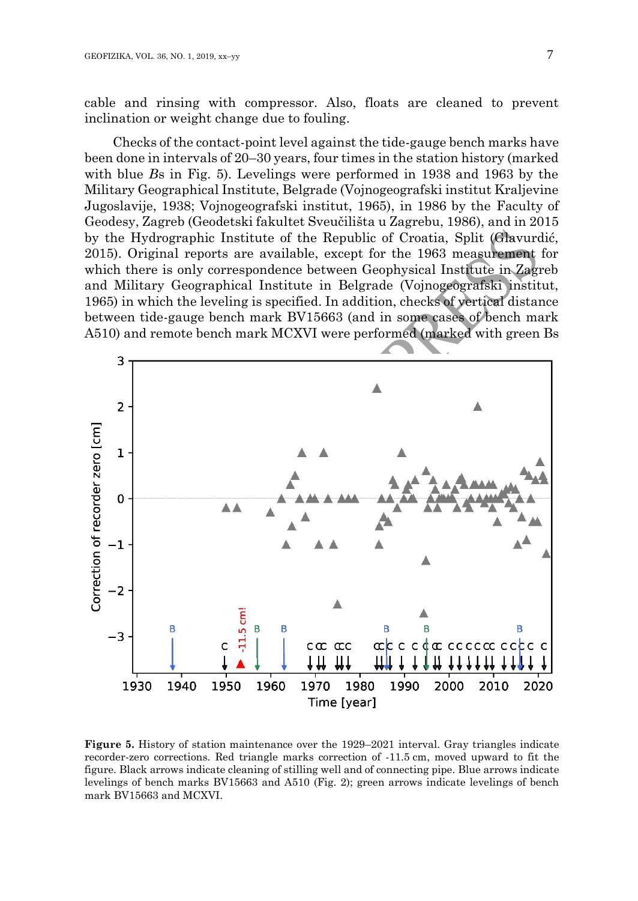cable and rinsing with compressor. Also, floats are cleaned to prevent inclination or weight change due to fouling.

Checks of the contact-point level against the tide-gauge bench marks have been done in intervals of 20–30 years, four times in the station history (marked with blue *B*s in Fig. 5). Levelings were performed in 1938 and 1963 by the Military Geographical Institute, Belgrade (Vojnogeografski institut Kraljevine Jugoslavije, 1938; Vojnogeografski institut, 1965), in 1986 by the Faculty of Geodesy, Zagreb (Geodetski fakultet Sveučilišta u Zagrebu, 1986), and in 2015 by the Hydrographic Institute of the Republic of Croatia, Split (Glavurdić, 2015). Original reports are available, except for the 1963 measurement for which there is only correspondence between Geophysical Institute in Zagreb and Military Geographical Institute in Belgrade (Vojnogeografski institut, 1965) in which the leveling is specified. In addition, checks of vertical distance between tide-gauge bench mark BV15663 (and in some cases of bench mark A510) and remote bench mark MCXVI were performed (marked with green Bs



**Figure 5.** History of station maintenance over the 1929–2021 interval. Gray triangles indicate recorder-zero corrections. Red triangle marks correction of -11.5 cm, moved upward to fit the figure. Black arrows indicate cleaning of stilling well and of connecting pipe. Blue arrows indicate levelings of bench marks BV15663 and A510 (Fig. 2); green arrows indicate levelings of bench mark BV15663 and MCXVI.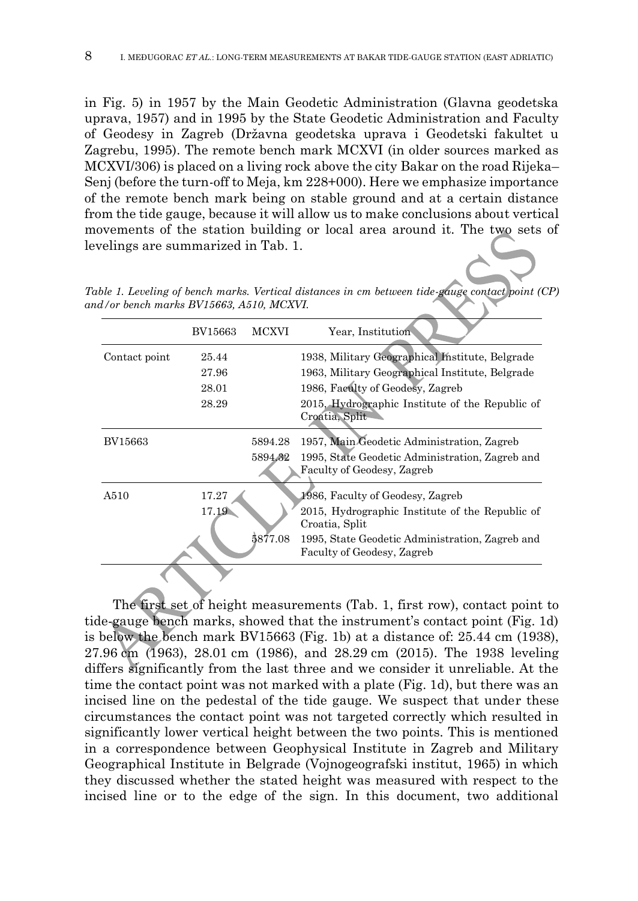in Fig. 5) in 1957 by the Main Geodetic Administration (Glavna geodetska uprava, 1957) and in 1995 by the State Geodetic Administration and Faculty of Geodesy in Zagreb (Državna geodetska uprava i Geodetski fakultet u Zagrebu, 1995). The remote bench mark MCXVI (in older sources marked as MCXVI/306) is placed on a living rock above the city Bakar on the road Rijeka– Senj (before the turn-off to Meja, km 228+000). Here we emphasize importance of the remote bench mark being on stable ground and at a certain distance from the tide gauge, because it will allow us to make conclusions about vertical movements of the station building or local area around it. The two sets of levelings are summarized in Tab. 1.

|               | BV15663 | <b>MCXVI</b> | Year, Institution                                                             |
|---------------|---------|--------------|-------------------------------------------------------------------------------|
| Contact point | 25.44   |              | 1938, Military Geographical Institute, Belgrade                               |
|               | 27.96   |              | 1963, Military Geographical Institute, Belgrade                               |
|               | 28.01   |              | 1986, Faculty of Geodesy, Zagreb                                              |
|               | 28.29   |              | 2015. Hydrographic Institute of the Republic of<br>Croatia, Split             |
| BV15663       |         | 5894.28      | 1957, Main Geodetic Administration, Zagreb                                    |
|               |         | 5894.32      | 1995, State Geodetic Administration, Zagreb and<br>Faculty of Geodesy, Zagreb |
| A510          | 17.27   |              | 1986, Faculty of Geodesy, Zagreb                                              |
|               | 17.19   |              | 2015, Hydrographic Institute of the Republic of<br>Croatia, Split             |
|               |         | 5877.08      | 1995, State Geodetic Administration, Zagreb and<br>Faculty of Geodesy, Zagreb |
|               |         |              |                                                                               |

*Table 1. Leveling of bench marks. Vertical distances in cm between tide-gauge contact point (CP) and/or bench marks BV15663, A510, MCXVI.*

The first set of height measurements (Tab. 1, first row), contact point to tide-gauge bench marks, showed that the instrument's contact point (Fig. 1d) is below the bench mark BV15663 (Fig. 1b) at a distance of: 25.44 cm (1938), 27.96 cm (1963), 28.01 cm (1986), and 28.29 cm (2015). The 1938 leveling differs significantly from the last three and we consider it unreliable. At the time the contact point was not marked with a plate (Fig. 1d), but there was an incised line on the pedestal of the tide gauge. We suspect that under these circumstances the contact point was not targeted correctly which resulted in significantly lower vertical height between the two points. This is mentioned in a correspondence between Geophysical Institute in Zagreb and Military Geographical Institute in Belgrade (Vojnogeografski institut, 1965) in which they discussed whether the stated height was measured with respect to the incised line or to the edge of the sign. In this document, two additional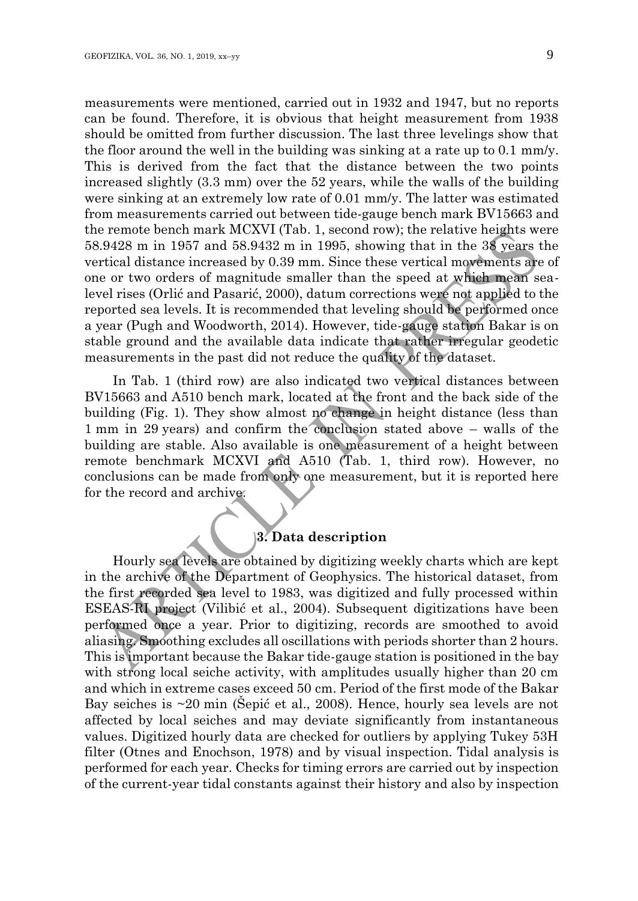measurements were mentioned, carried out in 1932 and 1947, but no reports can be found. Therefore, it is obvious that height measurement from 1938 should be omitted from further discussion. The last three levelings show that the floor around the well in the building was sinking at a rate up to 0.1 mm/y. This is derived from the fact that the distance between the two points increased slightly (3.3 mm) over the 52 years, while the walls of the building were sinking at an extremely low rate of 0.01 mm/y. The latter was estimated from measurements carried out between tide-gauge bench mark BV15663 and the remote bench mark MCXVI (Tab. 1, second row); the relative heights were 58.9428 m in 1957 and 58.9432 m in 1995, showing that in the 38 years the vertical distance increased by 0.39 mm. Since these vertical movements are of one or two orders of magnitude smaller than the speed at which mean sealevel rises (Orlić and Pasarić, 2000), datum corrections were not applied to the reported sea levels. It is recommended that leveling should be performed once a year (Pugh and Woodworth, 2014). However, tide-gauge station Bakar is on stable ground and the available data indicate that rather irregular geodetic measurements in the past did not reduce the quality of the dataset.

In Tab. 1 (third row) are also indicated two vertical distances between BV15663 and A510 bench mark, located at the front and the back side of the building (Fig. 1). They show almost no change in height distance (less than 1 mm in 29 years) and confirm the conclusion stated above – walls of the building are stable. Also available is one measurement of a height between remote benchmark MCXVI and A510 (Tab. 1, third row). However, no conclusions can be made from only one measurement, but it is reported here for the record and archive.

### **3. Data description**

Hourly sea levels are obtained by digitizing weekly charts which are kept in the archive of the Department of Geophysics. The historical dataset, from the first recorded sea level to 1983, was digitized and fully processed within ESEAS-RI project (Vilibić et al., 2004). Subsequent digitizations have been performed once a year. Prior to digitizing, records are smoothed to avoid aliasing. Smoothing excludes all oscillations with periods shorter than 2 hours. This is important because the Bakar tide-gauge station is positioned in the bay with strong local seiche activity, with amplitudes usually higher than 20 cm and which in extreme cases exceed 50 cm. Period of the first mode of the Bakar Bay seiches is ~20 min (Šepić et al., 2008). Hence, hourly sea levels are not affected by local seiches and may deviate significantly from instantaneous values. Digitized hourly data are checked for outliers by applying Tukey 53H filter (Otnes and Enochson, 1978) and by visual inspection. Tidal analysis is performed for each year. Checks for timing errors are carried out by inspection of the current-year tidal constants against their history and also by inspection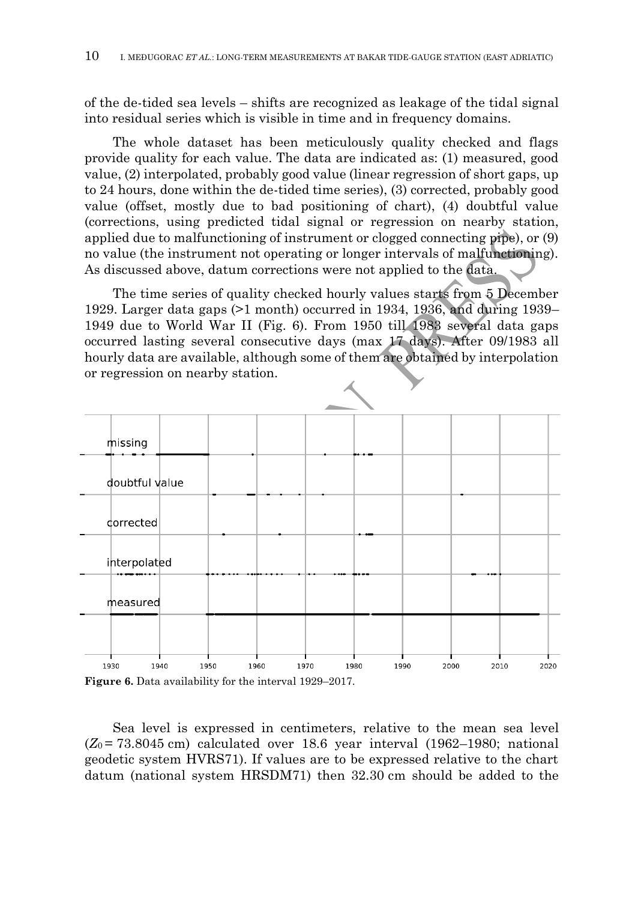of the de-tided sea levels – shifts are recognized as leakage of the tidal signal into residual series which is visible in time and in frequency domains.

The whole dataset has been meticulously quality checked and flags provide quality for each value. The data are indicated as: (1) measured, good value, (2) interpolated, probably good value (linear regression of short gaps, up to 24 hours, done within the de-tided time series), (3) corrected, probably good value (offset, mostly due to bad positioning of chart), (4) doubtful value (corrections, using predicted tidal signal or regression on nearby station, applied due to malfunctioning of instrument or clogged connecting pipe), or (9) no value (the instrument not operating or longer intervals of malfunctioning). As discussed above, datum corrections were not applied to the data.

The time series of quality checked hourly values starts from 5 December 1929. Larger data gaps (>1 month) occurred in 1934, 1936, and during 1939– 1949 due to World War II (Fig. 6). From 1950 till 1983 several data gaps occurred lasting several consecutive days (max 17 days). After 09/1983 all hourly data are available, although some of them are obtained by interpolation or regression on nearby station.



**Figure 6.** Data availability for the interval 1929–2017.

Sea level is expressed in centimeters, relative to the mean sea level (*Z*<sup>0</sup> = 73.8045 cm) calculated over 18.6 year interval (1962–1980; national geodetic system HVRS71). If values are to be expressed relative to the chart datum (national system HRSDM71) then 32.30 cm should be added to the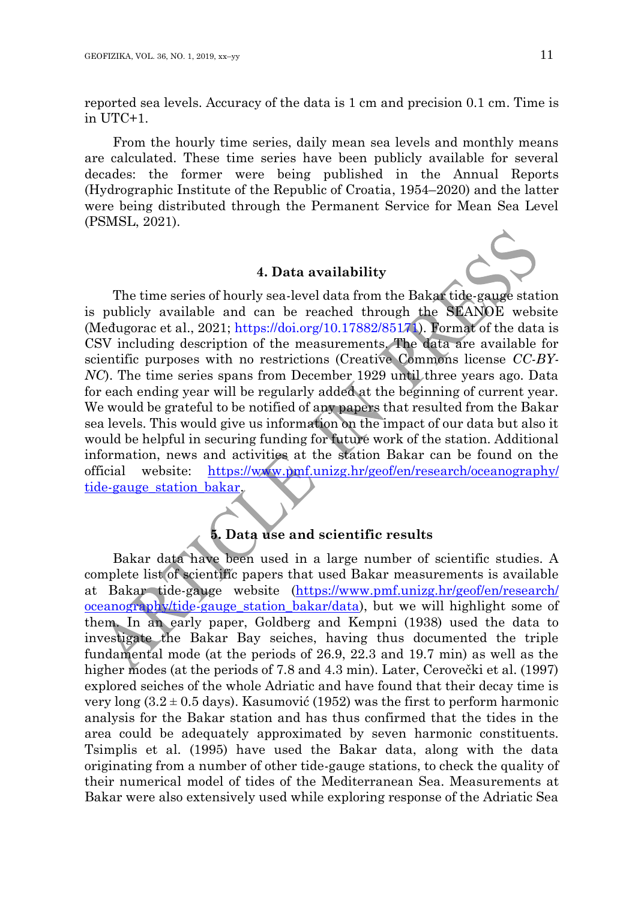reported sea levels. Accuracy of the data is 1 cm and precision 0.1 cm. Time is in UTC+1.

From the hourly time series, daily mean sea levels and monthly means are calculated. These time series have been publicly available for several decades: the former were being published in the Annual Reports (Hydrographic Institute of the Republic of Croatia, 1954–2020) and the latter were being distributed through the Permanent Service for Mean Sea Level (PSMSL, 2021).

### **4. Data availability**

The time series of hourly sea-level data from the Bakar tide-gauge station is publicly available and can be reached through the SEANOE website (Međugorac et al., 2021; [https://doi.org/10.17882/85171\)](https://doi.org/10.17882/85171). Format of the data is CSV including description of the measurements. The data are available for scientific purposes with no restrictions (Creative Commons license *CC-BY-NC*). The time series spans from December 1929 until three years ago. Data for each ending year will be regularly added at the beginning of current year. We would be grateful to be notified of any papers that resulted from the Bakar sea levels. This would give us information on the impact of our data but also it would be helpful in securing funding for future work of the station. Additional information, news and activities at the station Bakar can be found on the official website: [https://www.pmf.unizg.hr/geof/en/research/oceanography/](https://www.pmf.unizg.hr/geof/en/research/oceanography/tide-gauge_station_bakar/data) tide-gauge station bakar.

## **5. Data use and scientific results**

Bakar data have been used in a large number of scientific studies. A complete list of scientific papers that used Bakar measurements is available at Bakar tide-gauge website [\(https://www.pmf.unizg.hr/geof/en/research/](https://www.pmf.unizg.hr/geof/en/research/oceanography/tide-gauge_station_bakar/data) [oceanography/tide-gauge\\_station\\_bakar/data\)](https://www.pmf.unizg.hr/geof/en/research/oceanography/tide-gauge_station_bakar/data), but we will highlight some of them. In an early paper, Goldberg and Kempni (1938) used the data to investigate the Bakar Bay seiches, having thus documented the triple fundamental mode (at the periods of 26.9, 22.3 and 19.7 min) as well as the higher modes (at the periods of 7.8 and 4.3 min). Later, Cerovečki et al. (1997) explored seiches of the whole Adriatic and have found that their decay time is very long  $(3.2 \pm 0.5 \text{ days})$ . Kasumović (1952) was the first to perform harmonic analysis for the Bakar station and has thus confirmed that the tides in the area could be adequately approximated by seven harmonic constituents. Tsimplis et al. (1995) have used the Bakar data, along with the data originating from a number of other tide-gauge stations, to check the quality of their numerical model of tides of the Mediterranean Sea. Measurements at Bakar were also extensively used while exploring response of the Adriatic Sea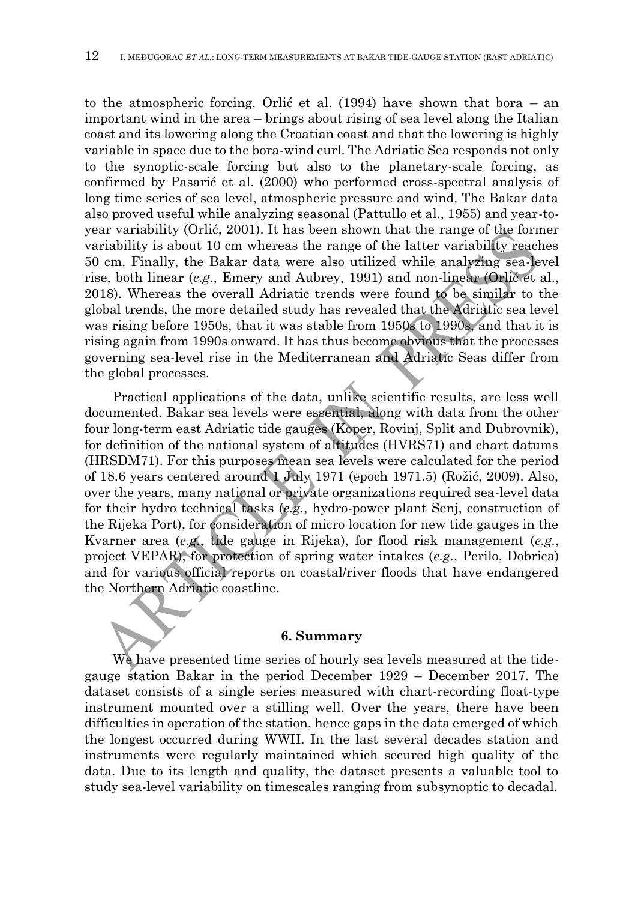to the atmospheric forcing. Orlić et al. (1994) have shown that bora – an important wind in the area – brings about rising of sea level along the Italian coast and its lowering along the Croatian coast and that the lowering is highly variable in space due to the bora-wind curl. The Adriatic Sea responds not only to the synoptic-scale forcing but also to the planetary-scale forcing, as confirmed by Pasarić et al. (2000) who performed cross-spectral analysis of long time series of sea level, atmospheric pressure and wind. The Bakar data also proved useful while analyzing seasonal (Pattullo et al., 1955) and year-toyear variability (Orlić, 2001). It has been shown that the range of the former variability is about 10 cm whereas the range of the latter variability reaches 50 cm. Finally, the Bakar data were also utilized while analyzing sea-level rise, both linear (*e.g.*, Emery and Aubrey, 1991) and non-linear (Orlić et al., 2018). Whereas the overall Adriatic trends were found to be similar to the global trends, the more detailed study has revealed that the Adriatic sea level was rising before 1950s, that it was stable from 1950s to 1990s, and that it is rising again from 1990s onward. It has thus become obvious that the processes governing sea-level rise in the Mediterranean and Adriatic Seas differ from the global processes.

Practical applications of the data, unlike scientific results, are less well documented. Bakar sea levels were essential, along with data from the other four long-term east Adriatic tide gauges (Koper, Rovinj, Split and Dubrovnik), for definition of the national system of altitudes (HVRS71) and chart datums (HRSDM71). For this purposes mean sea levels were calculated for the period of 18.6 years centered around 1 July 1971 (epoch 1971.5) (Rožić, 2009). Also, over the years, many national or private organizations required sea-level data for their hydro technical tasks (*e.g.*, hydro-power plant Senj, construction of the Rijeka Port), for consideration of micro location for new tide gauges in the Kvarner area (*e.g.*, tide gauge in Rijeka), for flood risk management (*e.g.*, project VEPAR), for protection of spring water intakes (*e.g.*, Perilo, Dobrica) and for various official reports on coastal/river floods that have endangered the Northern Adriatic coastline.

#### **6. Summary**

We have presented time series of hourly sea levels measured at the tidegauge station Bakar in the period December 1929 – December 2017. The dataset consists of a single series measured with chart-recording float-type instrument mounted over a stilling well. Over the years, there have been difficulties in operation of the station, hence gaps in the data emerged of which the longest occurred during WWII. In the last several decades station and instruments were regularly maintained which secured high quality of the data. Due to its length and quality, the dataset presents a valuable tool to study sea-level variability on timescales ranging from subsynoptic to decadal.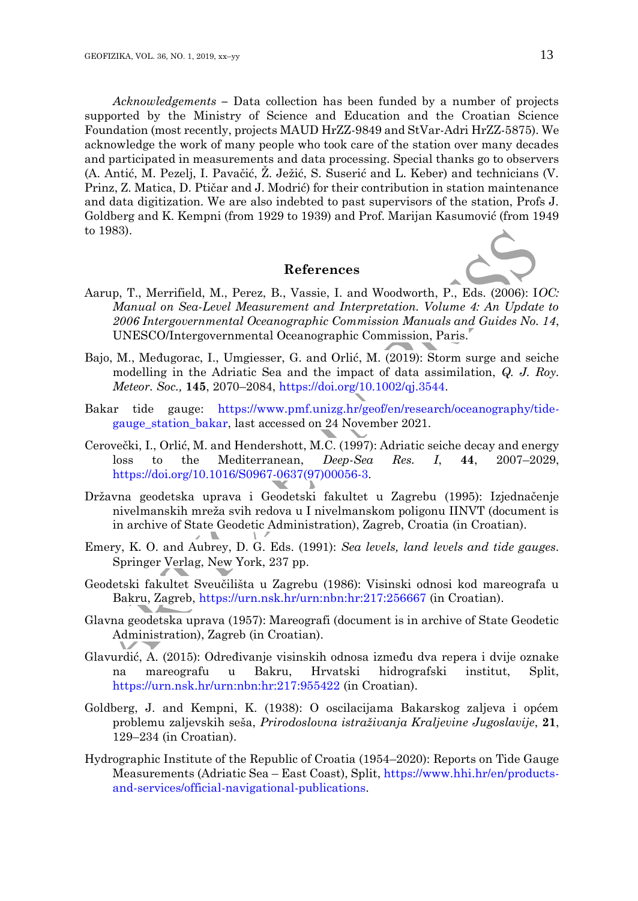*Acknowledgements* **–** Data collection has been funded by a number of projects supported by the Ministry of Science and Education and the Croatian Science Foundation (most recently, projects MAUD HrZZ-9849 and StVar-Adri HrZZ-5875). We acknowledge the work of many people who took care of the station over many decades and participated in measurements and data processing. Special thanks go to observers (A. Antić, M. Pezelj, I. Pavačić, Ž. Ježić, S. Suserić and L. Keber) and technicians (V. Prinz, Z. Matica, D. Ptičar and J. Modrić) for their contribution in station maintenance and data digitization. We are also indebted to past supervisors of the station, Profs J. Goldberg and K. Kempni (from 1929 to 1939) and Prof. Marijan Kasumović (from 1949 to 1983).

### **References**

- Aarup, T., Merrifield, M., Perez, B., Vassie, I. and Woodworth, P., Eds. (2006): I*OC: Manual on Sea-Level Measurement and Interpretation. Volume 4: An Update to 2006 Intergovernmental Oceanographic Commission Manuals and Guides No. 14*, UNESCO/Intergovernmental Oceanographic Commission, Paris.
- Bajo, M., Međugorac, I., Umgiesser, G. and Orlić, M. (2019): Storm surge and seiche modelling in the Adriatic Sea and the impact of data assimilation, *Q. J. Roy. Meteor. Soc.,* **145**, 2070–2084[, https://doi.org/10.1002/qj.3544.](https://doi.org/10.1002/qj.3544)
- Bakar tide gauge: [https://www.pmf.unizg.hr/geof/en/research/oceanography/tide](https://www.pmf.unizg.hr/geof/en/research/oceanography/tide-gauge_station_bakar)[gauge\\_station\\_bakar,](https://www.pmf.unizg.hr/geof/en/research/oceanography/tide-gauge_station_bakar) last accessed on 24 November 2021.
- Cerovečki, I., Orlić, M. and Hendershott, M.C. (1997): Adriatic seiche decay and energy loss to the Mediterranean, *Deep-Sea Res. I*, **44**, 2007–2029, [https://doi.org/10.1016/S0967-0637\(97\)00056-3.](https://doi.org/10.1016/S0967-0637(97)00056-3)
- Državna geodetska uprava i Geodetski fakultet u Zagrebu (1995): Izjednačenje nivelmanskih mreža svih redova u I nivelmanskom poligonu IINVT (document is in archive of State Geodetic Administration), Zagreb, Croatia (in Croatian). ъ.
- Emery, K. O. and Aubrey, D. G. Eds. (1991): *Sea levels, land levels and tide gauges*. Springer Verlag, New York, 237 pp.
- Geodetski fakultet Sveučilišta u Zagrebu (1986): Visinski odnosi kod mareografa u Bakru, Zagreb,<https://urn.nsk.hr/urn:nbn:hr:217:256667> (in Croatian).
- Glavna geodetska uprava (1957): Mareografi (document is in archive of State Geodetic Administration), Zagreb (in Croatian).
- Glavurdić, A. (2015): Određivanje visinskih odnosa između dva repera i dvije oznake na mareografu u Bakru, Hrvatski hidrografski institut, Split, <https://urn.nsk.hr/urn:nbn:hr:217:955422> (in Croatian).
- Goldberg, J. and Kempni, K. (1938): O oscilacijama Bakarskog zaljeva i općem problemu zaljevskih seša, *Prirodoslovna istraživanja Kraljevine Jugoslavije*, **21**, 129–234 (in Croatian).
- Hydrographic Institute of the Republic of Croatia (1954–2020): Reports on Tide Gauge Measurements (Adriatic Sea – East Coast), Split, [https://www.hhi.hr/en/products](https://www.hhi.hr/en/products-and-services/official-navigational-publications)[and-services/official-navigational-publications.](https://www.hhi.hr/en/products-and-services/official-navigational-publications)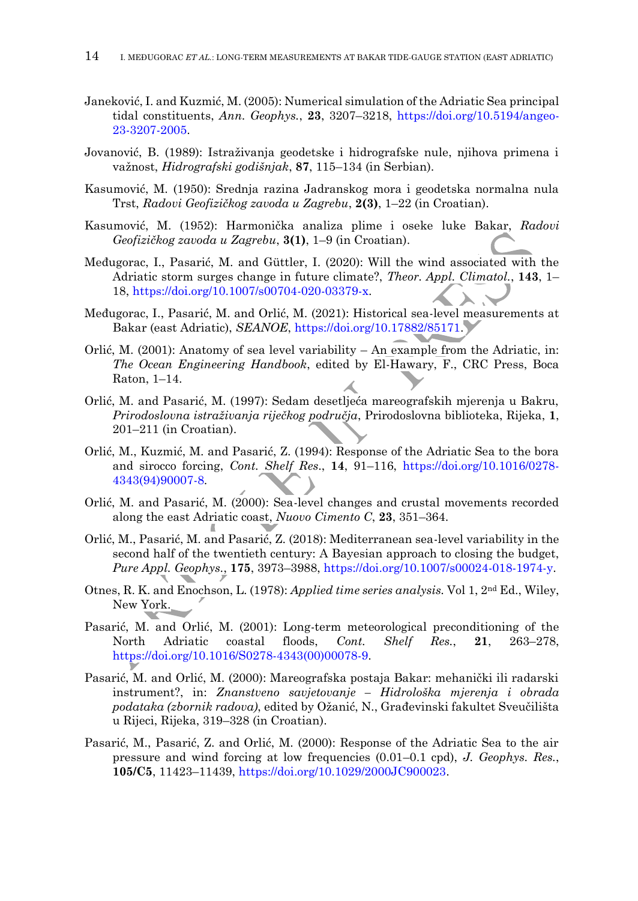- Janeković, I. and Kuzmić, M. (2005): Numerical simulation of the Adriatic Sea principal tidal constituents, *Ann. Geophys.*, **23**, 3207–3218, [https://doi.org/10.5194/angeo-](https://doi.org/10.5194/angeo-23-3207-2005)[23-3207-2005.](https://doi.org/10.5194/angeo-23-3207-2005)
- Jovanović, B. (1989): Istraživanja geodetske i hidrografske nule, njihova primena i važnost, *Hidrografski godišnjak*, **87**, 115–134 (in Serbian).
- Kasumović, M. (1950): Srednja razina Jadranskog mora i geodetska normalna nula Trst, *Radovi Geofizičkog zavoda u Zagrebu*, **2(3)**, 1–22 (in Croatian).
- Kasumović, M. (1952): Harmonička analiza plime i oseke luke Bakar, *Radovi Geofizičkog zavoda u Zagrebu*, **3(1)**, 1–9 (in Croatian).
- Međugorac, I., Pasarić, M. and Güttler, I. (2020): Will the wind associated with the Adriatic storm surges change in future climate?, *Theor. Appl. Climatol.*, **143**, 1– 18, [https://doi.org/10.1007/s00704-020-03379-x.](https://doi.org/10.1007/s00704-020-03379-x)
- Međugorac, I., Pasarić, M. and Orlić, M. (2021): Historical sea-level measurements at Bakar (east Adriatic), *SEANOE*[, https://doi.org/10.17882/85171.](https://doi.org/10.17882/85171)
- Orlić, M. (2001): Anatomy of sea level variability An example from the Adriatic, in: *The Ocean Engineering Handbook*, edited by El-Hawary, F., CRC Press, Boca Raton, 1–14.
- Orlić, M. and Pasarić, M. (1997): Sedam desetljeća mareografskih mjerenja u Bakru, *Prirodoslovna istraživanja riječkog područja*, Prirodoslovna biblioteka, Rijeka, **1**, 201–211 (in Croatian).
- Orlić, M., Kuzmić, M. and Pasarić, Z. (1994): Response of the Adriatic Sea to the bora and sirocco forcing, *Cont. Shelf Res*., **14**, 91–116, [https://doi.org/10.1016/0278-](https://doi.org/10.1016/0278-4343(94)90007-8) [4343\(94\)90007-8.](https://doi.org/10.1016/0278-4343(94)90007-8)
- Orlić, M. and Pasarić, M. (2000): Sea-level changes and crustal movements recorded along the east Adriatic coast, *Nuovo Cimento C*, **23**, 351–364.
- Orlić, M., Pasarić, M. and Pasarić, Z. (2018): Mediterranean sea-level variability in the second half of the twentieth century: A Bayesian approach to closing the budget, *Pure Appl. Geophys.*, **175**, 3973–3988[, https://doi.org/10.1007/s00024-018-1974-y.](https://doi.org/10.1007/s00024-018-1974-y)
- Otnes, R. K. and Enochson, L. (1978): *Applied time series analysis.* Vol 1, 2nd Ed., Wiley, New York.
- Pasarić, M. and Orlić, M. (2001): Long-term meteorological preconditioning of the North Adriatic coastal floods, *Cont. Shelf Res.*, **21**, 263–278, [https://doi.org/10.1016/S0278-4343\(00\)00078-9.](https://doi.org/10.1016/S0278-4343(00)00078-9)
- Pasarić, M. and Orlić, M. (2000): Mareografska postaja Bakar: mehanički ili radarski instrument?, in: *Znanstveno savjetovanje – Hidrološka mjerenja i obrada podataka (zbornik radova)*, edited by Ožanić, N., Građevinski fakultet Sveučilišta u Rijeci, Rijeka, 319–328 (in Croatian).
- Pasarić, M., Pasarić, Z. and Orlić, M. (2000): Response of the Adriatic Sea to the air pressure and wind forcing at low frequencies (0.01–0.1 cpd), *J. Geophys. Res.*, **105/C5**, 11423–11439, [https://doi.org/10.1029/2000JC900023.](https://doi.org/10.1029/2000JC900023)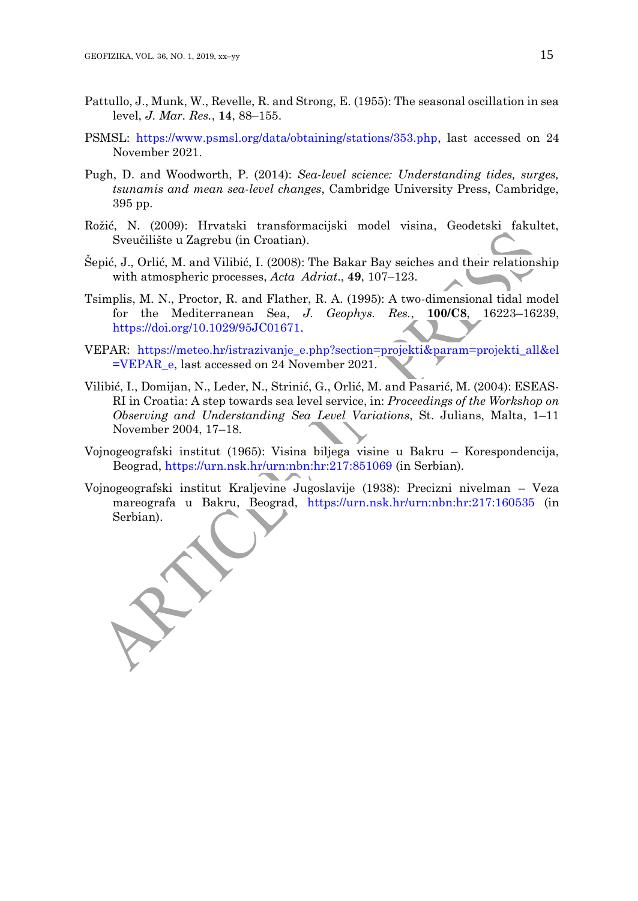- Pattullo, J., Munk, W., Revelle, R. and Strong, E. (1955): The seasonal oscillation in sea level, *J. Mar. Res.*, **14**, 88–155.
- PSMSL: [https://www.psmsl.org/data/obtaining/stations/353.php,](https://www.psmsl.org/data/obtaining/stations/353.php) last accessed on 24 November 2021.
- Pugh, D. and Woodworth, P. (2014): *Sea-level science: Understanding tides, surges, tsunamis and mean sea-level changes*, Cambridge University Press, Cambridge, 395 pp.
- Rožić, N. (2009): Hrvatski transformacijski model visina, Geodetski fakultet, Sveučilište u Zagrebu (in Croatian).
- Šepić, J., Orlić, M. and Vilibić, I. (2008): The Bakar Bay seiches and their relationship with atmospheric processes, *Acta Adriat*., **49**, 107–123.
- Tsimplis, M. N., Proctor, R. and Flather, R. A. (1995): A two-dimensional tidal model for the Mediterranean Sea, *J. Geophys. Res.*, **100/C8**, 16223–16239, [https://doi.org/10.1029/95JC01671.](https://doi.org/10.1029/95JC01671)
- VEPAR: [https://meteo.hr/istrazivanje\\_e.php?section=projekti&param=projekti\\_all&el](https://meteo.hr/istrazivanje_e.php?section=projekti¶m=projekti_all&el=VEPAR_e) [=VEPAR\\_e,](https://meteo.hr/istrazivanje_e.php?section=projekti¶m=projekti_all&el=VEPAR_e) last accessed on 24 November 2021.
- Vilibić, I., Domijan, N., Leder, N., Strinić, G., Orlić, M. and Pasarić, M. (2004): ESEAS-RI in Croatia: A step towards sea level service, in: *Proceedings of the Workshop on Observing and Understanding Sea Level Variations*, St. Julians, Malta, 1–11 November 2004, 17–18.
- Vojnogeografski institut (1965): Visina biljega visine u Bakru Korespondencija, Beograd[, https://urn.nsk.hr/urn:nbn:hr:217:851069](https://urn.nsk.hr/urn:nbn:hr:217:851069) (in Serbian).
- Vojnogeografski institut Kraljevine Jugoslavije (1938): Precizni nivelman Veza mareografa u Bakru, Beograd, <https://urn.nsk.hr/urn:nbn:hr:217:160535> (in Serbian).